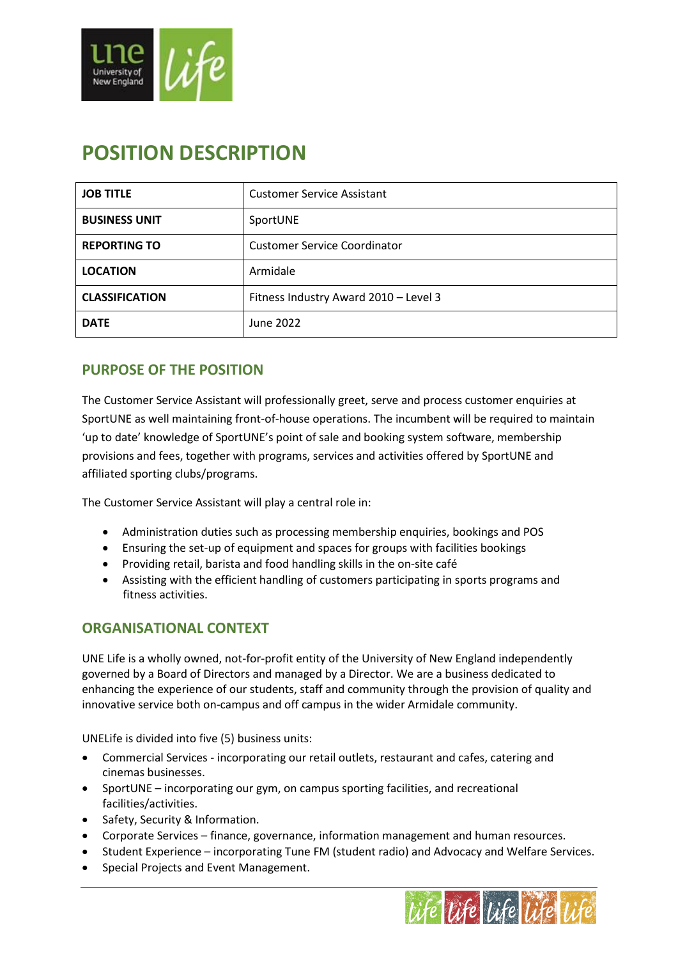

# **POSITION DESCRIPTION**

| <b>JOB TITLE</b>      | <b>Customer Service Assistant</b>     |  |  |
|-----------------------|---------------------------------------|--|--|
| <b>BUSINESS UNIT</b>  | SportUNE                              |  |  |
| <b>REPORTING TO</b>   | Customer Service Coordinator          |  |  |
| <b>LOCATION</b>       | Armidale                              |  |  |
| <b>CLASSIFICATION</b> | Fitness Industry Award 2010 - Level 3 |  |  |
| <b>DATE</b>           | June 2022                             |  |  |

## **PURPOSE OF THE POSITION**

The Customer Service Assistant will professionally greet, serve and process customer enquiries at SportUNE as well maintaining front-of-house operations. The incumbent will be required to maintain 'up to date' knowledge of SportUNE's point of sale and booking system software, membership provisions and fees, together with programs, services and activities offered by SportUNE and affiliated sporting clubs/programs.

The Customer Service Assistant will play a central role in:

- Administration duties such as processing membership enquiries, bookings and POS
- Ensuring the set-up of equipment and spaces for groups with facilities bookings
- Providing retail, barista and food handling skills in the on-site café
- Assisting with the efficient handling of customers participating in sports programs and fitness activities.

#### **ORGANISATIONAL CONTEXT**

UNE Life is a wholly owned, not-for-profit entity of the University of New England independently governed by a Board of Directors and managed by a Director. We are a business dedicated to enhancing the experience of our students, staff and community through the provision of quality and innovative service both on-campus and off campus in the wider Armidale community.

UNELife is divided into five (5) business units:

- Commercial Services incorporating our retail outlets, restaurant and cafes, catering and cinemas businesses.
- SportUNE incorporating our gym, on campus sporting facilities, and recreational facilities/activities.
- Safety, Security & Information.
- Corporate Services finance, governance, information management and human resources.
- Student Experience incorporating Tune FM (student radio) and Advocacy and Welfare Services.
- Special Projects and Event Management.

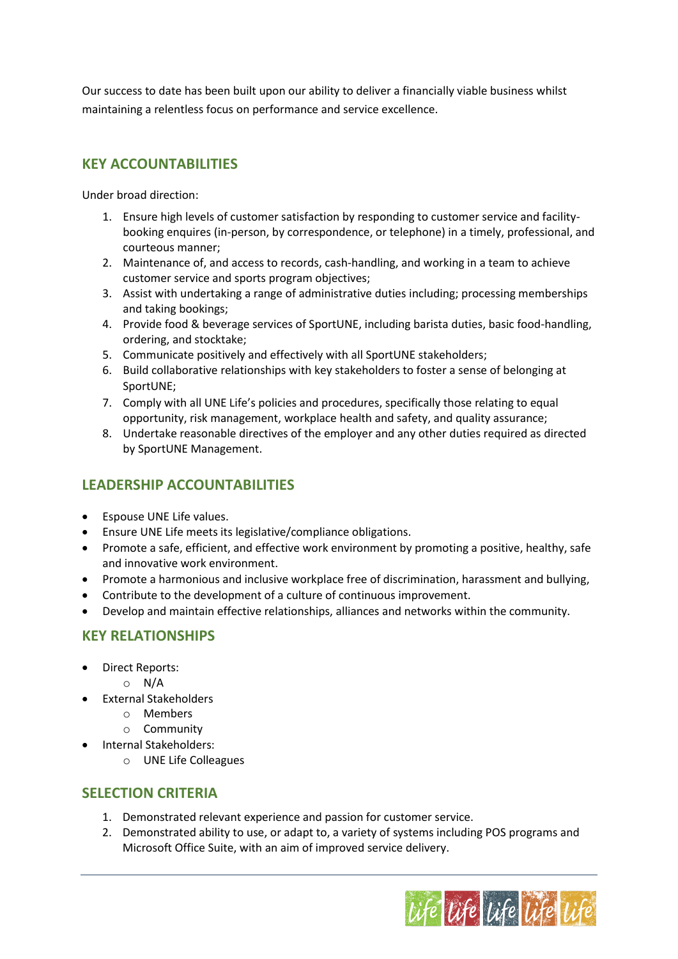Our success to date has been built upon our ability to deliver a financially viable business whilst maintaining a relentless focus on performance and service excellence.

# **KEY ACCOUNTABILITIES**

Under broad direction:

- 1. Ensure high levels of customer satisfaction by responding to customer service and facilitybooking enquires (in-person, by correspondence, or telephone) in a timely, professional, and courteous manner;
- 2. Maintenance of, and access to records, cash-handling, and working in a team to achieve customer service and sports program objectives;
- 3. Assist with undertaking a range of administrative duties including; processing memberships and taking bookings;
- 4. Provide food & beverage services of SportUNE, including barista duties, basic food-handling, ordering, and stocktake;
- 5. Communicate positively and effectively with all SportUNE stakeholders;
- 6. Build collaborative relationships with key stakeholders to foster a sense of belonging at SportUNE;
- 7. Comply with all UNE Life's policies and procedures, specifically those relating to equal opportunity, risk management, workplace health and safety, and quality assurance;
- 8. Undertake reasonable directives of the employer and any other duties required as directed by SportUNE Management.

# **LEADERSHIP ACCOUNTABILITIES**

- Espouse UNE Life values.
- Ensure UNE Life meets its legislative/compliance obligations.
- Promote a safe, efficient, and effective work environment by promoting a positive, healthy, safe and innovative work environment.
- Promote a harmonious and inclusive workplace free of discrimination, harassment and bullying,
- Contribute to the development of a culture of continuous improvement.
- Develop and maintain effective relationships, alliances and networks within the community.

# **KEY RELATIONSHIPS**

- Direct Reports:
	- $O$  N/A
- External Stakeholders
	- o Members
	- o Community
- Internal Stakeholders:
	- o UNE Life Colleagues

# **SELECTION CRITERIA**

- 1. Demonstrated relevant experience and passion for customer service.
- 2. Demonstrated ability to use, or adapt to, a variety of systems including POS programs and Microsoft Office Suite, with an aim of improved service delivery.